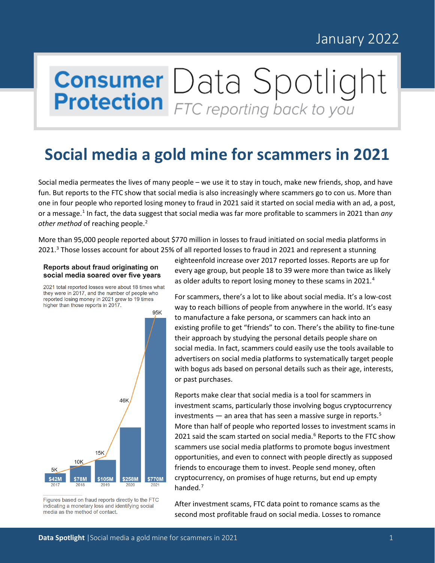## January 2022

### **Consumer Protection** Data Spotlight **FTC reporting back to you**

# **Social media a gold mine for scammers in 2021**

 Social media permeates the lives of many people – we use it to stay in touch, make new friends, shop, and have one in four people who reported losing money to fraud in 2021 said it started on social media with an ad, a post, or a message. [1](#page-2-0) In fact, the data suggest that social media was far more profitable to scammers in 2021 than *any*  other method of reaching people.<sup>2</sup> fun. But reports to the FTC show that social media is also increasingly where scammers go to con us. More than

 More than 95,000 people reported about \$770 million in losses to fraud initiated on social media platforms in 2021. [3](#page-2-2) Those losses account for about 25% of all reported losses to fraud in 2021 and represent a stunning

#### **Reports about fraud originating on social media soared over five years**

2021 total reported losses were about 18 times what they were in 2017, and the number of people who reported losing money in 2021 grew to 19 times higher than those reports in 2017.



Figures based on fraud reports directly to the FTC indicating a monetary loss and identifying social media as the method of contact.

 every age group, but people 18 to 39 were more than twice as likely eighteenfold increase over 2017 reported losses. Reports are up for as older adults to report losing money to these scams in 2021.<sup>[4](#page-2-3)</sup>

 social media. In fact, scammers could easily use the tools available to or past purchases. For scammers, there's a lot to like about social media. It's a low-cost way to reach billions of people from anywhere in the world. It's easy to manufacture a fake persona, or scammers can hack into an existing profile to get "friends" to con. There's the ability to fine-tune their approach by studying the personal details people share on advertisers on social media platforms to systematically target people with bogus ads based on personal details such as their age, interests,

investments  $-$  an area that has seen a massive surge in reports.<sup>[5](#page-2-4)</sup> opportunities, and even to connect with people directly as supposed cryptocurrency, on promises of huge returns, but end up empty handed.<sup>7</sup> Reports make clear that social media is a tool for scammers in investment scams, particularly those involving bogus cryptocurrency More than half of people who reported losses to investment scams in 2021 said the scam started on social media.<sup>6</sup> Reports to the FTC show scammers use social media platforms to promote bogus investment friends to encourage them to invest. People send money, often

 second most profitable fraud on social media. Losses to romance After investment scams, FTC data point to romance scams as the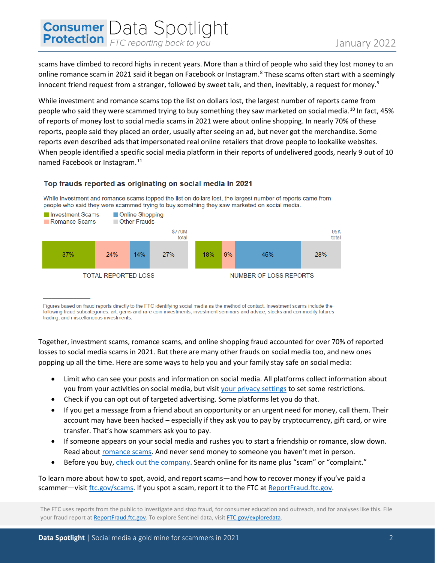# **Consumer** Data Spotlight

 scams have climbed to record highs in recent years. More than a third of people who said they lost money to an online romance scam in 2021 said it began on Facebook or Instagram.<sup>8</sup> These scams often start with a seemingly innocent friend request from a stranger, followed by sweet talk, and then, inevitably, a request for money. [9](#page-2-8)

people who said they were scammed trying to buy something they saw marketed on social media.<sup>10</sup> In fact, 45% reports even described ads that impersonated real online retailers that drove people to lookalike websites. When people identified a specific social media platform in their reports of undelivered goods, nearly 9 out of 10 named Facebook or Instagram.<sup>[11](#page-2-10)</sup> While investment and romance scams top the list on dollars lost, the largest number of reports came from of reports of money lost to social media scams in 2021 were about online shopping. In nearly 70% of these reports, people said they placed an order, usually after seeing an ad, but never got the merchandise. Some



**Top frauds reported as originating on social media in 2021** 

Figures based on fraud reports directly to the FTC identifying social media as the method of contact. Investment scams include the following fraud subcategories: art, gems and rare coin investments, investment seminars and advice, stocks and commodity futures trading, and miscellaneous investments.

 popping up all the time. Here are some ways to help you and your family stay safe on social media: Together, investment scams, romance scams, and online shopping fraud accounted for over 70% of reported losses to social media scams in 2021. But there are many other frauds on social media too, and new ones

- you from your activities on social media, but visit *your privacy settings* to set some restrictions. • Limit who can see your posts and information on social media. All platforms collect information about
- Check if you can opt out of targeted advertising. Some platforms let you do that.
- • If you get a message from a friend about an opportunity or an urgent need for money, call them. Their account may have been hacked – especially if they ask you to pay by cryptocurrency, gift card, or wire transfer. That's how scammers ask you to pay.
- • If someone appears on your social media and rushes you to start a friendship or romance, slow down. Read about **romance scams. And never send money to someone you haven't met in person.**
- Before you buy, *check out the company*. Search online for its name plus "scam" or "complaint."

To learn more about how to spot, avoid, and report scams—and how to recover money if you've paid a scammer—visi[t ftc.gov/scams.](http://www.ftc.gov/scams) If you spot a scam, report it to the FTC a[t ReportFraud.ftc.gov.](http://www.reportfraud.ftc.gov/)

your fraud report at ReportFraud.ftc.gov</u>. To explore Sentinel data, visit FTC.gov/exploredata. The FTC uses reports from the public to investigate and stop fraud, for consumer education and outreach, and for analyses like this. File